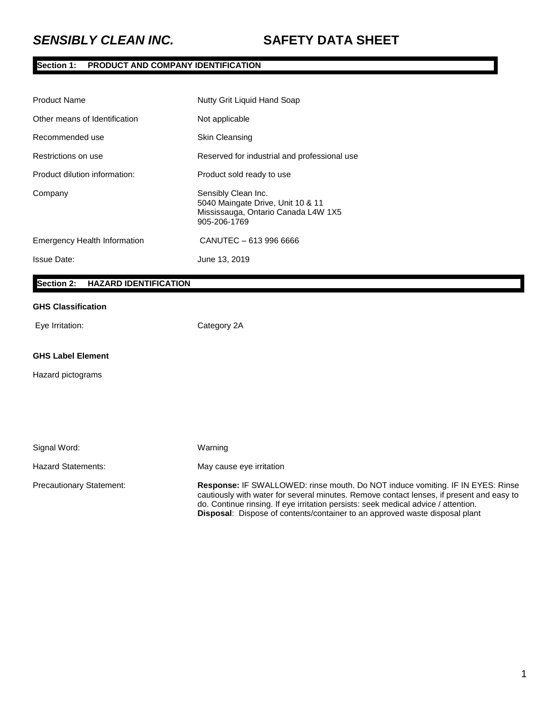# **Section 1: PRODUCT AND COMPANY IDENTIFICATION**

| <b>Product Name</b>                 | Nutty Grit Liquid Hand Soap                                                                                     |
|-------------------------------------|-----------------------------------------------------------------------------------------------------------------|
| Other means of Identification       | Not applicable                                                                                                  |
| Recommended use                     | <b>Skin Cleansing</b>                                                                                           |
| Restrictions on use                 | Reserved for industrial and professional use                                                                    |
| Product dilution information:       | Product sold ready to use                                                                                       |
| Company                             | Sensibly Clean Inc.<br>5040 Maingate Drive, Unit 10 & 11<br>Mississauga, Ontario Canada L4W 1X5<br>905-206-1769 |
| <b>Emergency Health Information</b> | CANUTEC - 613 996 6666                                                                                          |
| <b>Issue Date:</b>                  | June 13, 2019                                                                                                   |

## **Section 2: HAZARD IDENTIFICATION**

## **GHS Classification**

Eye Irritation: Category 2A

#### **GHS Label Element**

Hazard pictograms

| Signal Word:                    | Warning                                                                                                                                                                                                                                                                                                                                                       |
|---------------------------------|---------------------------------------------------------------------------------------------------------------------------------------------------------------------------------------------------------------------------------------------------------------------------------------------------------------------------------------------------------------|
| Hazard Statements:              | May cause eye irritation                                                                                                                                                                                                                                                                                                                                      |
| <b>Precautionary Statement:</b> | <b>Response: IF SWALLOWED: rinse mouth. Do NOT induce vomiting. IF IN EYES: Rinse</b><br>cautiously with water for several minutes. Remove contact lenses, if present and easy to<br>do. Continue rinsing. If eye irritation persists: seek medical advice / attention.<br><b>Disposal:</b> Dispose of contents/container to an approved waste disposal plant |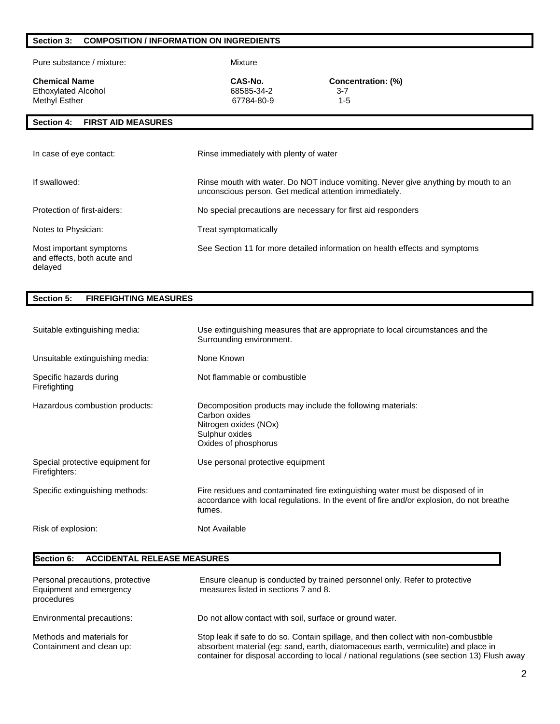## **Section 3: COMPOSITION / INFORMATION ON INGREDIENTS**

Pure substance / mixture: Mixture

Ethoxylated Alcohol 68585-34-2 3-7 Methyl Esther

**CAS-No. CAS-No. CONCERTIBLE CONCERTIBLE CONCENTE CONCENTE CONCERTIBLE CONCENTE CONCENTE CONCERTIBLE CONCERTIBLE CONCERTIBLE CONCERTIBLE CONCERTIBLE CONCERTIBLE CONCERTIBLE CONCERTIBLE CONCERTIBLE CONCERTIBLE CONCERTIB** 

## **Section 4: FIRST AID MEASURES**

| In case of eye contact:                                           | Rinse immediately with plenty of water                                                                                                       |
|-------------------------------------------------------------------|----------------------------------------------------------------------------------------------------------------------------------------------|
| If swallowed:                                                     | Rinse mouth with water. Do NOT induce vomiting. Never give anything by mouth to an<br>unconscious person. Get medical attention immediately. |
| Protection of first-aiders:                                       | No special precautions are necessary for first aid responders                                                                                |
| Notes to Physician:                                               | Treat symptomatically                                                                                                                        |
| Most important symptoms<br>and effects, both acute and<br>delayed | See Section 11 for more detailed information on health effects and symptoms                                                                  |

#### **Section 5: FIREFIGHTING MEASURES**

| Suitable extinguishing media:                     | Use extinguishing measures that are appropriate to local circumstances and the<br>Surrounding environment.                                                                           |
|---------------------------------------------------|--------------------------------------------------------------------------------------------------------------------------------------------------------------------------------------|
| Unsuitable extinguishing media:                   | None Known                                                                                                                                                                           |
| Specific hazards during<br>Firefighting           | Not flammable or combustible                                                                                                                                                         |
| Hazardous combustion products:                    | Decomposition products may include the following materials:<br>Carbon oxides<br>Nitrogen oxides (NOx)<br>Sulphur oxides<br>Oxides of phosphorus                                      |
| Special protective equipment for<br>Firefighters: | Use personal protective equipment                                                                                                                                                    |
| Specific extinguishing methods:                   | Fire residues and contaminated fire extinguishing water must be disposed of in<br>accordance with local regulations. In the event of fire and/or explosion, do not breathe<br>fumes. |
| Risk of explosion:                                | Not Available                                                                                                                                                                        |

### **Section 6: ACCIDENTAL RELEASE MEASURES**

| Personal precautions, protective<br>Equipment and emergency<br>procedures | Ensure cleanup is conducted by trained personnel only. Refer to protective<br>measures listed in sections 7 and 8.                                                                                                                                                        |
|---------------------------------------------------------------------------|---------------------------------------------------------------------------------------------------------------------------------------------------------------------------------------------------------------------------------------------------------------------------|
| Environmental precautions:                                                | Do not allow contact with soil, surface or ground water.                                                                                                                                                                                                                  |
| Methods and materials for<br>Containment and clean up:                    | Stop leak if safe to do so. Contain spillage, and then collect with non-combustible<br>absorbent material (eg: sand, earth, diatomaceous earth, vermiculite) and place in<br>container for disposal according to local / national regulations (see section 13) Flush away |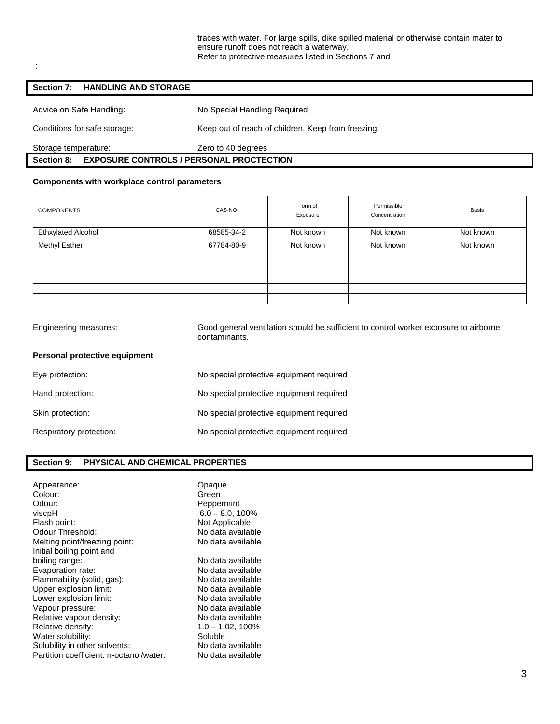#### **Section 7: HANDLING AND STORAGE**

:

 $\Gamma$ 

| Advice on Safe Handling:                                      | No Special Handling Required                       |  |
|---------------------------------------------------------------|----------------------------------------------------|--|
| Conditions for safe storage:                                  | Keep out of reach of children. Keep from freezing. |  |
| Storage temperature:                                          | Zero to 40 degrees                                 |  |
| <b>EXPOSURE CONTROLS / PERSONAL PROCTECTION</b><br>Section 8: |                                                    |  |

### **Components with workplace control parameters**

| <b>COMPONENTS</b>         | CAS-NO.    | Form of<br>Exposure | Permissible<br>Concentration | <b>Basis</b> |
|---------------------------|------------|---------------------|------------------------------|--------------|
| <b>Ethxylated Alcohol</b> | 68585-34-2 | Not known           | Not known                    | Not known    |
| <b>Methyl Esther</b>      | 67784-80-9 | Not known           | Not known                    | Not known    |
|                           |            |                     |                              |              |
|                           |            |                     |                              |              |
|                           |            |                     |                              |              |
|                           |            |                     |                              |              |
|                           |            |                     |                              |              |

| Engineering measures:         | Good general ventilation should be sufficient to control worker exposure to airborne<br>contaminants. |  |
|-------------------------------|-------------------------------------------------------------------------------------------------------|--|
| Personal protective equipment |                                                                                                       |  |
| Eye protection:               | No special protective equipment required                                                              |  |
| Hand protection:              | No special protective equipment required                                                              |  |
| Skin protection:              | No special protective equipment required                                                              |  |
| Respiratory protection:       | No special protective equipment required                                                              |  |
|                               |                                                                                                       |  |

## **Section 9: PHYSICAL AND CHEMICAL PROPERTIES**

| Appearance:<br>Colour:<br>Odour:<br>viscpH<br>Flash point:<br>Odour Threshold:<br>Melting point/freezing point:                                                                                                                                                               | Opaque<br>Green<br>Peppermint<br>$6.0 - 8.0, 100\%$<br>Not Applicable<br>No data available<br>No data available                                                                                        |
|-------------------------------------------------------------------------------------------------------------------------------------------------------------------------------------------------------------------------------------------------------------------------------|--------------------------------------------------------------------------------------------------------------------------------------------------------------------------------------------------------|
| Initial boiling point and<br>boiling range:<br>Evaporation rate:<br>Flammability (solid, gas):<br>Upper explosion limit:<br>Lower explosion limit:<br>Vapour pressure:<br>Relative vapour density:<br>Relative density:<br>Water solubility:<br>Solubility in other solvents: | No data available<br>No data available<br>No data available<br>No data available<br>No data available<br>No data available<br>No data available<br>$1.0 - 1.02, 100\%$<br>Soluble<br>No data available |
| Partition coefficient: n-octanol/water:                                                                                                                                                                                                                                       | No data available                                                                                                                                                                                      |
|                                                                                                                                                                                                                                                                               |                                                                                                                                                                                                        |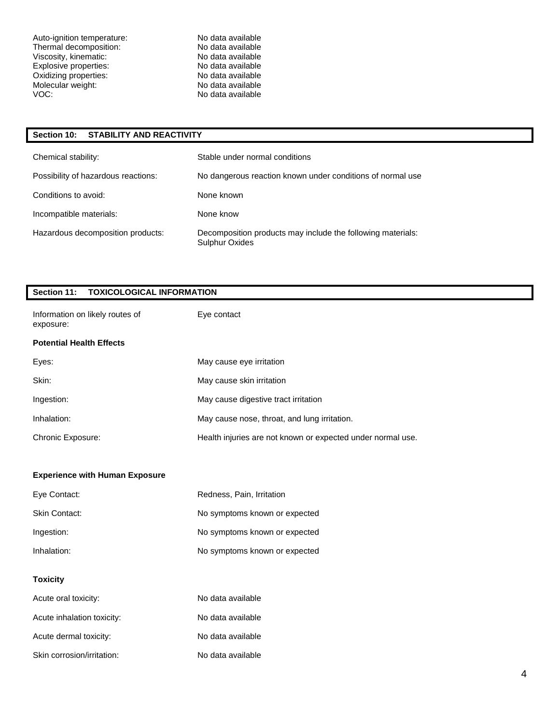Auto-ignition temperature: No data available<br>
Thermal decomposition: No data available Thermal decomposition: No data available<br>Viscosity, kinematic: No data available<br>No data available Viscosity, kinematic: No data available<br>
Explosive properties: No data available<br>
No data available Explosive properties: No data available Oxidizing properties: No data available Molecular weight: No data available<br>VOC: No data available

No data available

### **Section 10: STABILITY AND REACTIVITY**

| Chemical stability:                 | Stable under normal conditions                                                |
|-------------------------------------|-------------------------------------------------------------------------------|
| Possibility of hazardous reactions: | No dangerous reaction known under conditions of normal use                    |
| Conditions to avoid:                | None known                                                                    |
| Incompatible materials:             | None know                                                                     |
| Hazardous decomposition products:   | Decomposition products may include the following materials:<br>Sulphur Oxides |

| Section 11:<br><b>TOXICOLOGICAL INFORMATION</b> |                                                             |  |
|-------------------------------------------------|-------------------------------------------------------------|--|
| Information on likely routes of<br>exposure:    | Eye contact                                                 |  |
| <b>Potential Health Effects</b>                 |                                                             |  |
| Eyes:                                           | May cause eye irritation                                    |  |
| Skin:                                           | May cause skin irritation                                   |  |
| Ingestion:                                      | May cause digestive tract irritation                        |  |
| Inhalation:                                     | May cause nose, throat, and lung irritation.                |  |
| Chronic Exposure:                               | Health injuries are not known or expected under normal use. |  |
|                                                 |                                                             |  |
| <b>Experience with Human Exposure</b>           |                                                             |  |
| Eye Contact:                                    | Redness, Pain, Irritation                                   |  |
| Skin Contact:                                   | No symptoms known or expected                               |  |
| Ingestion:                                      | No symptoms known or expected                               |  |
| Inhalation:                                     | No symptoms known or expected                               |  |
| <b>Toxicity</b>                                 |                                                             |  |
| Acute oral toxicity:                            | No data available                                           |  |
| Acute inhalation toxicity:                      | No data available                                           |  |
| Acute dermal toxicity:                          | No data available                                           |  |
| Skin corrosion/irritation:                      | No data available                                           |  |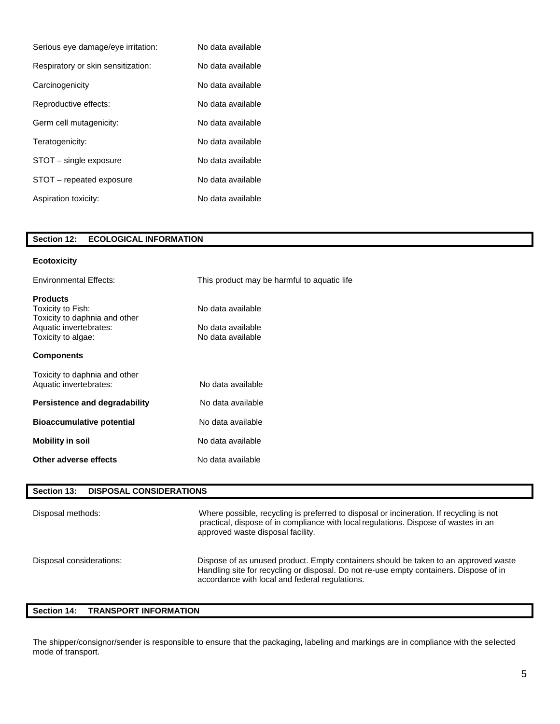| Serious eye damage/eye irritation: | No data available |
|------------------------------------|-------------------|
| Respiratory or skin sensitization: | No data available |
| Carcinogenicity                    | No data available |
| Reproductive effects:              | No data available |
| Germ cell mutagenicity:            | No data available |
| Teratogenicity:                    | No data available |
| STOT – single exposure             | No data available |
| STOT – repeated exposure           | No data available |
| Aspiration toxicity:               | No data available |

| <b>ECOLOGICAL INFORMATION</b><br><b>Section 12:</b> |  |
|-----------------------------------------------------|--|
|-----------------------------------------------------|--|

### **Ecotoxicity**

| <b>Environmental Effects:</b>                                                                                         | This product may be harmful to aquatic life                 |
|-----------------------------------------------------------------------------------------------------------------------|-------------------------------------------------------------|
| <b>Products</b><br>Toxicity to Fish:<br>Toxicity to daphnia and other<br>Aquatic invertebrates:<br>Toxicity to algae: | No data available<br>No data available<br>No data available |
| <b>Components</b>                                                                                                     |                                                             |
| Toxicity to daphnia and other<br>Aquatic invertebrates:                                                               | No data available                                           |
| Persistence and degradability                                                                                         | No data available                                           |
| <b>Bioaccumulative potential</b>                                                                                      | No data available                                           |
| <b>Mobility in soil</b>                                                                                               | No data available                                           |
| Other adverse effects                                                                                                 | No data available                                           |

| <b>DISPOSAL CONSIDERATIONS</b><br>Section 13: |                                                                                                                                                                                                                                 |
|-----------------------------------------------|---------------------------------------------------------------------------------------------------------------------------------------------------------------------------------------------------------------------------------|
| Disposal methods:                             | Where possible, recycling is preferred to disposal or incineration. If recycling is not<br>practical, dispose of in compliance with local regulations. Dispose of wastes in an<br>approved waste disposal facility.             |
| Disposal considerations:                      | Dispose of as unused product. Empty containers should be taken to an approved waste<br>Handling site for recycling or disposal. Do not re-use empty containers. Dispose of in<br>accordance with local and federal regulations. |

## **Section 14: TRANSPORT INFORMATION**

The shipper/consignor/sender is responsible to ensure that the packaging, labeling and markings are in compliance with the selected mode of transport.